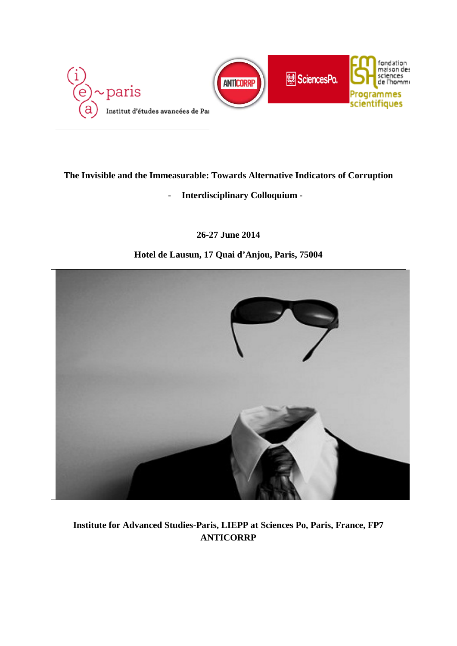

## **The Invisible and the Immeasurable: Towards Alternative Indicators of Corruption**

## - **Interdisciplinary Colloquium -**

## **26-27 June 2014**

## **Hotel de Lausun, 17 Quai d'Anjou, Paris, 75004**



# **Institute for Advanced Studies-Paris, LIEPP at Sciences Po, Paris, France, FP7 ANTICORRP**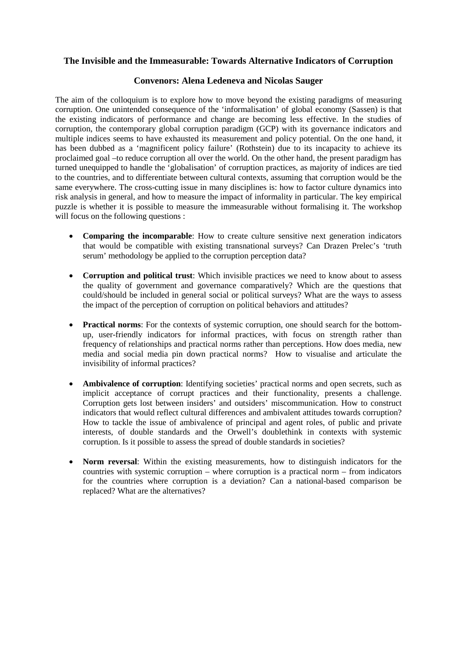## **The Invisible and the Immeasurable: Towards Alternative Indicators of Corruption**

### **Convenors: Alena Ledeneva and Nicolas Sauger**

The aim of the colloquium is to explore how to move beyond the existing paradigms of measuring corruption. One unintended consequence of the 'informalisation' of global economy (Sassen) is that the existing indicators of performance and change are becoming less effective. In the studies of corruption, the contemporary global corruption paradigm (GCP) with its governance indicators and multiple indices seems to have exhausted its measurement and policy potential. On the one hand, it has been dubbed as a 'magnificent policy failure' (Rothstein) due to its incapacity to achieve its proclaimed goal –to reduce corruption all over the world. On the other hand, the present paradigm has turned unequipped to handle the 'globalisation' of corruption practices, as majority of indices are tied to the countries, and to differentiate between cultural contexts, assuming that corruption would be the same everywhere. The cross-cutting issue in many disciplines is: how to factor culture dynamics into risk analysis in general, and how to measure the impact of informality in particular. The key empirical puzzle is whether it is possible to measure the immeasurable without formalising it. The workshop will focus on the following questions :

- **Comparing the incomparable**: How to create culture sensitive next generation indicators that would be compatible with existing transnational surveys? Can Drazen Prelec's 'truth serum' methodology be applied to the corruption perception data?
- **Corruption and political trust**: Which invisible practices we need to know about to assess the quality of government and governance comparatively? Which are the questions that could/should be included in general social or political surveys? What are the ways to assess the impact of the perception of corruption on political behaviors and attitudes?
- **Practical norms**: For the contexts of systemic corruption, one should search for the bottomup, user-friendly indicators for informal practices, with focus on strength rather than frequency of relationships and practical norms rather than perceptions. How does media, new media and social media pin down practical norms? How to visualise and articulate the invisibility of informal practices?
- **Ambivalence of corruption**: Identifying societies' practical norms and open secrets, such as implicit acceptance of corrupt practices and their functionality, presents a challenge. Corruption gets lost between insiders' and outsiders' miscommunication. How to construct indicators that would reflect cultural differences and ambivalent attitudes towards corruption? How to tackle the issue of ambivalence of principal and agent roles, of public and private interests, of double standards and the Orwell's doublethink in contexts with systemic corruption. Is it possible to assess the spread of double standards in societies?
- **Norm reversal**: Within the existing measurements, how to distinguish indicators for the countries with systemic corruption – where corruption is a practical norm – from indicators for the countries where corruption is a deviation? Can a national-based comparison be replaced? What are the alternatives?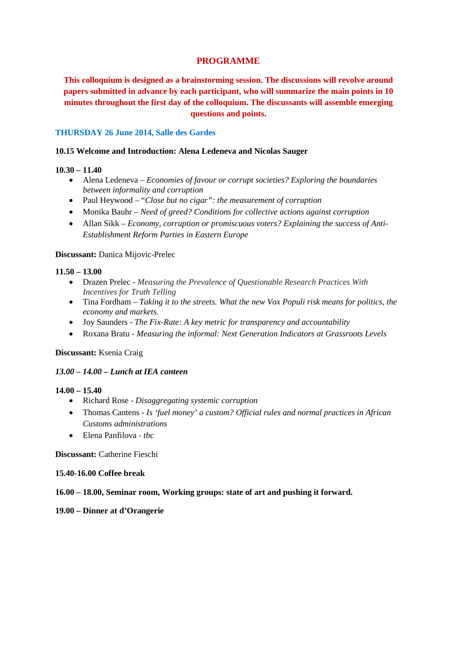## **PROGRAMME**

**This colloquium is designed as a brainstorming session. The discussions will revolve around papers submitted in advance by each participant, who will summarize the main points in 10 minutes throughout the first day of the colloquium. The discussants will assemble emerging questions and points.**

## **THURSDAY 26 June 2014, Salle des Gardes**

### **10.15 Welcome and Introduction: Alena Ledeneva and Nicolas Sauger**

## **10.30 – 11.40**

- Alena Ledeneva *Economies of favour or corrupt societies? Exploring the boundaries between informality and corruption*
- Paul Heywood "*Close but no cigar": the measurement of corruption*
- Monika Bauhr *Need of greed? Conditions for collective actions against corruption*
- Allan Sikk *Economy, corruption or promiscuous voters? Explaining the success of Anti-Establishment Reform Parties in Eastern Europe*

### **Discussant:** Danica Mijovic-Prelec

## **11.50 – 13.00**

- Drazen Prelec *Measuring the Prevalence of Questionable Research Practices With Incentives for Truth Telling*
- Tina Fordham *Taking it to the streets. What the new Vox Populi risk means for politics, the economy and markets.*
- Joy Saunders *The Fix-Rate: A key metric for transparency and accountability*
- Roxana Bratu *Measuring the informal: Next Generation Indicators at Grassroots Levels*

### **Discussant:** Ksenia Craig

## *13.00 – 14.00 – Lunch at IEA canteen*

### **14.00 – 15.40**

- Richard Rose *Disaggregating systemic corruption*
- Thomas Cantens *Is 'fuel money' a custom? Official rules and normal practices in African Customs administrations*
- Elena Panfilova *tbc*

### **Discussant:** Catherine Fieschi

### **15.40-16.00 Coffee break**

### **16.00 – 18.00, Seminar room, Working groups: state of art and pushing it forward.**

### **19.00 – Dinner at d'Orangerie**